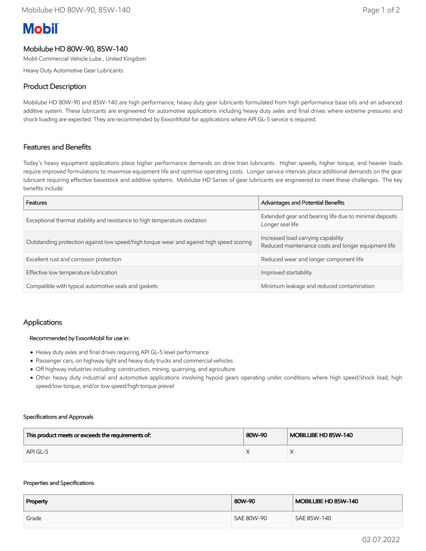# **Mobil**

# Mobilube HD 80W-90, 85W-140

Mobil Commercial Vehicle Lube , United Kingdom

Heavy Duty Automotive Gear Lubricants

# Product Description

Mobilube HD 80W-90 and 85W-140 are high performance, heavy duty gear lubricants formulated from high performance base oils and an advanced additive system. These lubricants are engineered for automotive applications including heavy duty axles and final drives where extreme pressures and shock loading are expected. They are recommended by ExxonMobil for applications where API GL-5 service is required.

# Features and Benefits

Today's heavy equipment applications place higher performance demands on drive train lubricants. Higher speeds, higher torque, and heavier loads require improved formulations to maximise equipment life and optimise operating costs. Longer service intervals place additional demands on the gear lubricant requiring effective basestock and additive systems. Mobilube HD Series of gear lubricants are engineered to meet these challenges. The key benefits include:

| Features                                                                                 | Advantages and Potential Benefits                                                         |  |
|------------------------------------------------------------------------------------------|-------------------------------------------------------------------------------------------|--|
| Exceptional thermal stability and resistance to high temperature oxidation               | Extended gear and bearing life due to minimal deposits<br>Longer seal life                |  |
| Outstanding protection against low speed/high torque wear and against high speed scoring | Increased load carrying capability<br>Reduced maintenance costs and longer equipment life |  |
| Excellent rust and corrosion protection                                                  | Reduced wear and longer component life                                                    |  |
| Effective low temperature lubrication                                                    | Improved startability                                                                     |  |
| Compatible with typical automotive seals and gaskets                                     | Minimum leakage and reduced contamination                                                 |  |

## Applications

### Recommended by ExxonMobil for use in:

- Heavy duty axles and final drives requiring API GL-5 level performance
- Passenger cars, on highway light and heavy duty trucks and commercial vehicles
- Off highway industries including: construction, mining, quarrying, and agriculture
- Other heavy duty industrial and automotive applications involving hypoid gears operating under conditions where high speed/shock load, high speed/low torque, and/or low speed/high torque prevail

#### Specifications and Approvals

| This product meets or exceeds the requirements of: | 80W-90 | MOBILUBE HD 85W-140 |
|----------------------------------------------------|--------|---------------------|
| API GL-5                                           |        |                     |

#### Properties and Specifications

| Property | 80W-90     | MOBILUBE HD 85W-140 |
|----------|------------|---------------------|
| Grade    | SAE 80W-90 | SAE 85W-140         |